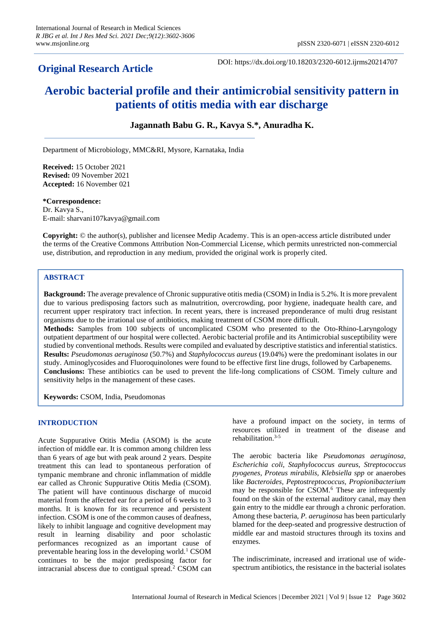# **Original Research Article**

DOI: https://dx.doi.org/10.18203/2320-6012.ijrms20214707

# **Aerobic bacterial profile and their antimicrobial sensitivity pattern in patients of otitis media with ear discharge**

# **Jagannath Babu G. R., Kavya S.\*, Anuradha K.**

Department of Microbiology, MMC&RI, Mysore, Karnataka, India

**Received:** 15 October 2021 **Revised:** 09 November 2021 **Accepted:** 16 November 021

**\*Correspondence:** Dr. Kavya S., E-mail: sharvani107kavya@gmail.com

**Copyright:** © the author(s), publisher and licensee Medip Academy. This is an open-access article distributed under the terms of the Creative Commons Attribution Non-Commercial License, which permits unrestricted non-commercial use, distribution, and reproduction in any medium, provided the original work is properly cited.

## **ABSTRACT**

**Background:** The average prevalence of Chronic suppurative otitis media (CSOM) in India is 5.2%. It is more prevalent due to various predisposing factors such as malnutrition, overcrowding, poor hygiene, inadequate health care, and recurrent upper respiratory tract infection. In recent years, there is increased preponderance of multi drug resistant organisms due to the irrational use of antibiotics, making treatment of CSOM more difficult.

**Methods:** Samples from 100 subjects of uncomplicated CSOM who presented to the Oto-Rhino-Laryngology outpatient department of our hospital were collected. Aerobic bacterial profile and its Antimicrobial susceptibility were studied by conventional methods. Results were compiled and evaluated by descriptive statistics and inferential statistics. **Results:** *Pseudomonas aeruginosa* (50.7%) and *Staphylococcus aureus* (19.04%) were the predominant isolates in our study. Aminoglycosides and Fluoroquinolones were found to be effective first line drugs, followed by Carbapenems. **Conclusions:** These antibiotics can be used to prevent the life-long complications of CSOM. Timely culture and sensitivity helps in the management of these cases.

**Keywords:** CSOM, India, Pseudomonas

#### **INTRODUCTION**

Acute Suppurative Otitis Media (ASOM) is the acute infection of middle ear. It is common among children less than 6 years of age but with peak around 2 years. Despite treatment this can lead to spontaneous perforation of tympanic membrane and chronic inflammation of middle ear called as Chronic Suppurative Otitis Media (CSOM). The patient will have continuous discharge of mucoid material from the affected ear for a period of 6 weeks to 3 months. It is known for its recurrence and persistent infection. CSOM is one of the common causes of deafness, likely to inhibit language and cognitive development may result in learning disability and poor scholastic performances recognized as an important cause of preventable hearing loss in the developing world.<sup>1</sup> CSOM continues to be the major predisposing factor for intracranial abscess due to contigual spread.<sup>2</sup> CSOM can have a profound impact on the society, in terms of resources utilized in treatment of the disease and rehabilitation.3-5

The aerobic bacteria like *Pseudomonas aeruginosa, Escherichia coli, Staphylococcus aureus, Streptococcus pyogenes, Proteus mirabilis, Klebsiella spp* or anaerobes like *Bacteroides, Peptostreptococcus, Propionibacterium* may be responsible for CSOM.<sup>6</sup> These are infrequently found on the skin of the external auditory canal, may then gain entry to the middle ear through a chronic perforation. Among these bacteria, *P. aeruginosa* has been particularly blamed for the deep-seated and progressive destruction of middle ear and mastoid structures through its toxins and enzymes.

The indiscriminate, increased and irrational use of widespectrum antibiotics, the resistance in the bacterial isolates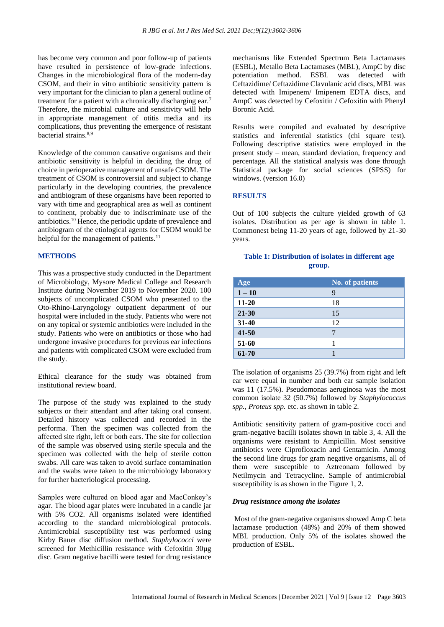has become very common and poor follow-up of patients have resulted in persistence of low-grade infections. Changes in the microbiological flora of the modern-day CSOM, and their in vitro antibiotic sensitivity pattern is very important for the clinician to plan a general outline of treatment for a patient with a chronically discharging ear.<sup>7</sup> Therefore, the microbial culture and sensitivity will help in appropriate management of otitis media and its complications, thus preventing the emergence of resistant bacterial strains.<sup>8,9</sup>

Knowledge of the common causative organisms and their antibiotic sensitivity is helpful in deciding the drug of choice in perioperative management of unsafe CSOM. The treatment of CSOM is controversial and subject to change particularly in the developing countries, the prevalence and antibiogram of these organisms have been reported to vary with time and geographical area as well as continent to continent, probably due to indiscriminate use of the antibiotics.<sup>10</sup> Hence, the periodic update of prevalence and antibiogram of the etiological agents for CSOM would be helpful for the management of patients.<sup>11</sup>

#### **METHODS**

This was a prospective study conducted in the Department of Microbiology, Mysore Medical College and Research Institute during November 2019 to November 2020. 100 subjects of uncomplicated CSOM who presented to the Oto-Rhino-Laryngology outpatient department of our hospital were included in the study. Patients who were not on any topical or systemic antibiotics were included in the study. Patients who were on antibiotics or those who had undergone invasive procedures for previous ear infections and patients with complicated CSOM were excluded from the study.

Ethical clearance for the study was obtained from institutional review board.

The purpose of the study was explained to the study subjects or their attendant and after taking oral consent. Detailed history was collected and recorded in the performa. Then the specimen was collected from the affected site right, left or both ears. The site for collection of the sample was observed using sterile specula and the specimen was collected with the help of sterile cotton swabs. All care was taken to avoid surface contamination and the swabs were taken to the microbiology laboratory for further bacteriological processing.

Samples were cultured on blood agar and MacConkey's agar. The blood agar plates were incubated in a candle jar with 5% CO2. All organisms isolated were identified according to the standard microbiological protocols. Antimicrobial susceptibility test was performed using Kirby Bauer disc diffusion method. *Staphylococci* were screened for Methicillin resistance with Cefoxitin 30µg disc. Gram negative bacilli were tested for drug resistance mechanisms like Extended Spectrum Beta Lactamases (ESBL), Metallo Beta Lactamases (MBL), AmpC by disc potentiation method. ESBL was detected with Ceftazidime/ Ceftazidime Clavulanic acid discs, MBL was detected with Imipenem/ Imipenem EDTA discs, and AmpC was detected by Cefoxitin / Cefoxitin with Phenyl Boronic Acid.

Results were compiled and evaluated by descriptive statistics and inferential statistics (chi square test). Following descriptive statistics were employed in the present study – mean, standard deviation, frequency and percentage. All the statistical analysis was done through Statistical package for social sciences (SPSS) for windows. (version 16.0)

#### **RESULTS**

Out of 100 subjects the culture yielded growth of 63 isolates. Distribution as per age is shown in table 1. Commonest being 11-20 years of age, followed by 21-30 years.

#### **Table 1: Distribution of isolates in different age group.**

| Age       | <b>No. of patients</b> |
|-----------|------------------------|
| $1 - 10$  | 9                      |
| $11 - 20$ | 18                     |
| $21 - 30$ | 15                     |
| 31-40     | 12                     |
| $41 - 50$ |                        |
| 51-60     |                        |
| 61-70     |                        |

The isolation of organisms 25 (39.7%) from right and left ear were equal in number and both ear sample isolation was 11 (17.5%). Pseudomonas aeruginosa was the most common isolate 32 (50.7%) followed by *Staphylococcus spp., Proteus spp.* etc. as shown in table 2.

Antibiotic sensitivity pattern of gram-positive cocci and gram-negative bacilli isolates shown in table 3, 4. All the organisms were resistant to Ampicillin. Most sensitive antibiotics were Ciprofloxacin and Gentamicin. Among the second line drugs for gram negative organisms, all of them were susceptible to Aztreonam followed by Netilmycin and Tetracycline. Sample of antimicrobial susceptibility is as shown in the Figure 1, 2.

#### *Drug resistance among the isolates*

Most of the gram-negative organisms showed Amp C beta lactamase production (48%) and 20% of them showed MBL production. Only 5% of the isolates showed the production of ESBL.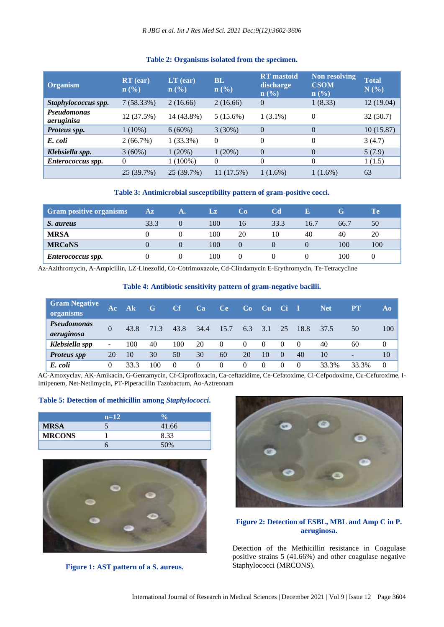# **Table 2: Organisms isolated from the specimen.**

| <b>Organism</b>           | $RT$ (ear)<br>$\mathbf{n}(\%)$ | $LT$ (ear)<br>$\mathbf{n}(\%)$ | <b>BL</b><br>$\mathbf{n}(\%)$ | <b>RT</b> mastoid<br>discharge<br>$\mathbf{n}(\%)$ | Non resolving<br><b>CSOM</b><br>$\mathbf{n}(\%)$ | <b>Total</b><br>N(%) |
|---------------------------|--------------------------------|--------------------------------|-------------------------------|----------------------------------------------------|--------------------------------------------------|----------------------|
| Staphylococcus spp.       | 7(58.33%)                      | 2(16.66)                       | 2(16.66)                      | $\theta$                                           | 1(8.33)                                          | 12(19.04)            |
| Pseudomonas<br>aeruginisa | 12 (37.5%)                     | 14 (43.8%)                     | 5(15.6%)                      | $1(3.1\%)$                                         | $\theta$                                         | 32(50.7)             |
| Proteus spp.              | $1(10\%)$                      | $6(60\%)$                      | 3(30%)                        | $\Omega$                                           | $\theta$                                         | 10(15.87)            |
| E. coli                   | 2(66.7%)                       | $1(33.3\%)$                    | $\Omega$                      | $\Omega$                                           | $\Omega$                                         | 3(4.7)               |
| Klebsiella spp.           | $3(60\%)$                      | 1(20%)                         | 1(20%)                        | $\Omega$                                           | $\Omega$                                         | 5(7.9)               |
| Enterococcus spp.         | $\theta$                       | $1(100\%)$                     | $\theta$                      | $\Omega$                                           | $\Omega$                                         | 1(1.5)               |
|                           | 25 (39.7%)                     | 25 (39.7%)                     | 11 (17.5%)                    | $1(1.6\%)$                                         | $1(1.6\%)$                                       | 63                   |

#### **Table 3: Antimicrobial susceptibility pattern of gram-positive cocci.**

| <b>Gram positive organisms</b> | $\mathbf{A}\mathbf{z}$ |          | Lz  | Co. | Cd   | Е    | G    | Te  |
|--------------------------------|------------------------|----------|-----|-----|------|------|------|-----|
| S. aureus                      | 33.3                   | $\theta$ | 100 | 16  | 33.3 | 16.7 | 66.7 | 50  |
| <b>MRSA</b>                    |                        |          | 100 | 20  | 10   | 40   | 40   | 20  |
| <b>MRCoNS</b>                  |                        | $\Omega$ | 100 |     |      |      | 100  | 100 |
| <b>Enterococcus spp.</b>       |                        |          | 100 |     |      |      | 100  |     |

Az-Azithromycin, A-Ampicillin, LZ-Linezolid, Co-Cotrimoxazole, Cd-Clindamycin E-Erythromycin, Te-Tetracycline

#### **Table 4: Antibiotic sensitivity pattern of gram-negative bacilli.**

| <b>Gram Negative</b><br>organisms | Ac 1                     | A <sub>k</sub> | G    | Cf       | Ca   | Ce       | Co       | Cu       | <b>Cil</b> | п        | Net   | $\overline{\mathbf{PT}}$ | Ao       |
|-----------------------------------|--------------------------|----------------|------|----------|------|----------|----------|----------|------------|----------|-------|--------------------------|----------|
| Pseudomonas<br>aeruginosa         |                          | 43.8           | 71.3 | 43.8     | 34.4 | 15.7     | 6.3      | 3.1      | 25         | 18.8     | 37.5  | 50                       | 100      |
| Klebsiella spp                    | $\overline{\phantom{a}}$ | 100            | 40   | 100      | 20   | $\theta$ | $\left($ | $\theta$ | $\Omega$   | $\theta$ | 40    | 60                       | $\Omega$ |
| <b>Proteus spp</b>                | 20                       | 10             | 30   | 50       | 30   | 60       | 20       | 10       | $\Omega$   | 40       | 10    | $\overline{\phantom{0}}$ | 10       |
| E. coli                           | 0                        | 33.3           | 100  | $\Omega$ | 0    | $\theta$ | $\theta$ | $\theta$ | $\Omega$   | $\theta$ | 33.3% | 33.3%                    | $\Omega$ |

AC-Amoxyclav, AK-Amikacin, G-Gentamycin, Cf-Ciprofloxacin, Ca-ceftazidime, Ce-Cefatoxime, Ci-Cefpodoxime, Cu-Cefuroxime, I-Imipenem, Net-Netlimycin, PT-Piperacillin Tazobactum, Ao-Aztreonam

#### **Table 5: Detection of methicillin among** *Staphylococci***.**

|               | $n=12$ | <b>Vo</b> |  |
|---------------|--------|-----------|--|
| <b>MRSA</b>   |        | 41.66     |  |
| <b>MRCONS</b> |        | 8.33      |  |
|               |        | 50%       |  |







## **Figure 2: Detection of ESBL, MBL and Amp C in P. aeruginosa.**

Detection of the Methicillin resistance in Coagulase positive strains 5 (41.66%) and other coagulase negative Staphylococci (MRCONS).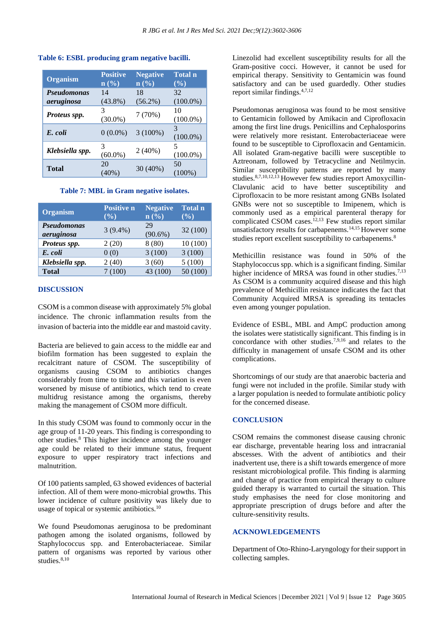| <b>Organism</b>    | <b>Positive</b><br>$\mathbf{n}(\%)$ | <b>Negative</b><br>$\mathbf{n}(\%)$ | <b>Total n</b><br>$(\%)$ |
|--------------------|-------------------------------------|-------------------------------------|--------------------------|
| <b>Pseudomonas</b> | 14                                  | 18                                  | 32                       |
| aeruginosa         | $(43.8\%)$                          | $(56.2\%)$                          | $(100.0\%)$              |
| Proteus spp.       | 3<br>$(30.0\%)$                     | 7(70%)                              | 10<br>$(100.0\%)$        |
| E. coli            | $0(0.0\%)$                          | $3(100\%)$                          | 3<br>$(100.0\%)$         |
| Klebsiella spp.    | 3<br>$(60.0\%)$                     | 2(40%)                              | 5<br>$(100.0\%)$         |
| <b>Total</b>       | 20<br>$(40\%)$                      | 30 (40%)                            | 50<br>$(100\%)$          |

**Table 6: ESBL producing gram negative bacilli.**

#### **Table 7: MBL in Gram negative isolates.**

| <b>Organism</b>           | <b>Positive n</b><br>$(\%)$ | <b>Negative</b><br>$\mathbf{n}(\%)$ | <b>Total n</b><br>$(\%)$ |
|---------------------------|-----------------------------|-------------------------------------|--------------------------|
| Pseudomonas<br>aeruginosa | $3(9.4\%)$                  | 29<br>$(90.6\%)$                    | 32 (100)                 |
| Proteus spp.              | 2(20)                       | 8(80)                               | 10(100)                  |
| E. coli                   | 0(0)                        | 3(100)                              | 3(100)                   |
| Klebsiella spp.           | 2(40)                       | 3(60)                               | 5(100)                   |
| <b>Total</b>              | (100)                       | 43 (100)                            | 50 (100)                 |

#### **DISCUSSION**

CSOM is a common disease with approximately 5% global incidence. The chronic inflammation results from the invasion of bacteria into the middle ear and mastoid cavity.

Bacteria are believed to gain access to the middle ear and biofilm formation has been suggested to explain the recalcitrant nature of CSOM. The susceptibility of organisms causing CSOM to antibiotics changes considerably from time to time and this variation is even worsened by misuse of antibiotics, which tend to create multidrug resistance among the organisms, thereby making the management of CSOM more difficult.

In this study CSOM was found to commonly occur in the age group of 11-20 years. This finding is corresponding to other studies.<sup>8</sup> This higher incidence among the younger age could be related to their immune status, frequent exposure to upper respiratory tract infections and malnutrition.

Of 100 patients sampled, 63 showed evidences of bacterial infection. All of them were mono-microbial growths. This lower incidence of culture positivity was likely due to usage of topical or systemic antibiotics.<sup>10</sup>

We found Pseudomonas aeruginosa to be predominant pathogen among the isolated organisms, followed by Staphylococcus spp. and Enterobacteriaceae. Similar pattern of organisms was reported by various other studies.<sup>8,10</sup>

Linezolid had excellent susceptibility results for all the Gram-positive cocci. However, it cannot be used for empirical therapy. Sensitivity to Gentamicin was found satisfactory and can be used guardedly. Other studies report similar findings.4,7,12

Pseudomonas aeruginosa was found to be most sensitive to Gentamicin followed by Amikacin and Ciprofloxacin among the first line drugs. Penicillins and Cephalosporins were relatively more resistant. Enterobacteriaceae were found to be susceptible to Ciprofloxacin and Gentamicin. All isolated Gram-negative bacilli were susceptible to Aztreonam, followed by Tetracycline and Netilmycin. Similar susceptibility patterns are reported by many studies.8,7,10,12,13 However few studies report Amoxycillin-Clavulanic acid to have better susceptibility and Ciprofloxacin to be more resistant among GNBs Isolated GNBs were not so susceptible to Imipenem, which is commonly used as a empirical parenteral therapy for complicated CSOM cases.<sup>12,13</sup> Few studies report similar unsatisfactory results for carbapenems.<sup>14,15</sup> However some studies report excellent susceptibility to carbapenems.<sup>8</sup>

Methicillin resistance was found in 50% of the Staphylococcus spp. which is a significant finding. Similar higher incidence of MRSA was found in other studies.<sup>7,13</sup> As CSOM is a community acquired disease and this high prevalence of Methicillin resistance indicates the fact that Community Acquired MRSA is spreading its tentacles even among younger population.

Evidence of ESBL, MBL and AmpC production among the isolates were statistically significant. This finding is in concordance with other studies.7,9,16 and relates to the difficulty in management of unsafe CSOM and its other complications.

Shortcomings of our study are that anaerobic bacteria and fungi were not included in the profile. Similar study with a larger population is needed to formulate antibiotic policy for the concerned disease.

#### **CONCLUSION**

CSOM remains the commonest disease causing chronic ear discharge, preventable hearing loss and intracranial abscesses. With the advent of antibiotics and their inadvertent use, there is a shift towards emergence of more resistant microbiological profile. This finding is alarming and change of practice from empirical therapy to culture guided therapy is warranted to curtail the situation. This study emphasises the need for close monitoring and appropriate prescription of drugs before and after the culture-sensitivity results.

#### **ACKNOWLEDGEMENTS**

Department of Oto-Rhino-Laryngology for their support in collecting samples.